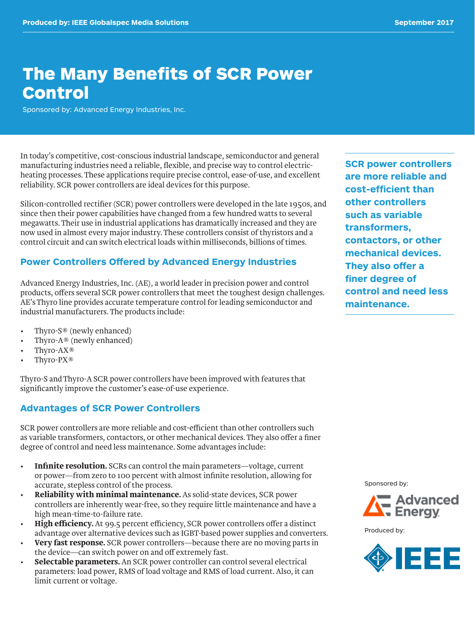# The Many Benefits of SCR Power **Control**

Sponsored by: Advanced Energy Industries, Inc.

In today's competitive, cost-conscious industrial landscape, semiconductor and general manufacturing industries need a reliable, flexible, and precise way to control electricheating processes. These applications require precise control, ease-of-use, and excellent reliability. SCR power controllers are ideal devices for this purpose.

Silicon-controlled rectifier (SCR) power controllers were developed in the late 1950s, and since then their power capabilities have changed from a few hundred watts to several megawatts. Their use in industrial applications has dramatically increased and they are now used in almost every major industry. These controllers consist of thyristors and a control circuit and can switch electrical loads within milliseconds, billions of times.

#### **Power Controllers Offered by Advanced Energy Industries**

Advanced Energy Industries, Inc. (AE), a world leader in precision power and control products, offers several SCR power controllers that meet the toughest design challenges. AE's Thyro line provides accurate temperature control for leading semiconductor and industrial manufacturers. The products include:

- Thyro-S® (newly enhanced)
- Thyro-A® (newly enhanced)
- Thyro-AX<sup>®</sup>
- Thyro-PX<sup>®</sup>

Thyro-S and Thyro-A SCR power controllers have been improved with features that significantly improve the customer's ease-of-use experience.

#### **Advantages of SCR Power Controllers**

SCR power controllers are more reliable and cost-efficient than other controllers such as variable transformers, contactors, or other mechanical devices. They also offer a finer degree of control and need less maintenance. Some advantages include:

- **• Infinite resolution.** SCRs can control the main parameters—voltage, current or power—from zero to 100 percent with almost infinite resolution, allowing for accurate, stepless control of the process.
- **• Reliability with minimal maintenance.** As solid-state devices, SCR power controllers are inherently wear-free, so they require little maintenance and have a high mean-time-to-failure rate.
- **• High efficiency.** At 99.5 percent efficiency, SCR power controllers offer a distinct advantage over alternative devices such as IGBT-based power supplies and converters.
- **• Very fast response.** SCR power controllers—because there are no moving parts in the device—can switch power on and off extremely fast.
- **• Selectable parameters.** An SCR power controller can control several electrical parameters: load power, RMS of load voltage and RMS of load current. Also, it can limit current or voltage.

**SCR power controllers are more reliable and cost-efficient than other controllers such as variable transformers, contactors, or other mechanical devices. They also offer a finer degree of control and need less maintenance.** 

Sponsored by:



Produced by:

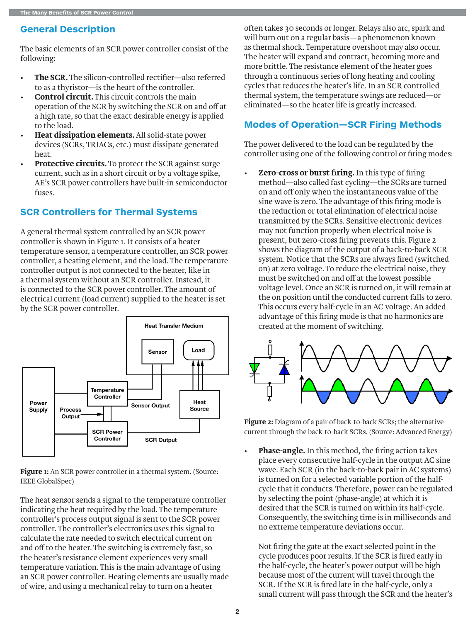### **General Description**

The basic elements of an SCR power controller consist of the following:

- **• The SCR.** The silicon-controlled rectifier—also referred to as a thyristor—is the heart of the controller.
- **• Control circuit.** This circuit controls the main operation of the SCR by switching the SCR on and off at a high rate, so that the exact desirable energy is applied to the load.
- **• Heat dissipation elements.** All solid-state power devices (SCRs, TRIACs, etc.) must dissipate generated heat.
- **• Protective circuits.** To protect the SCR against surge current, such as in a short circuit or by a voltage spike, AE's SCR power controllers have built-in semiconductor fuses.

# **SCR Controllers for Thermal Systems**

A general thermal system controlled by an SCR power controller is shown in Figure 1. It consists of a heater temperature sensor, a temperature controller, an SCR power controller, a heating element, and the load. The temperature controller output is not connected to the heater, like in a thermal system without an SCR controller. Instead, it is connected to the SCR power controller. The amount of electrical current (load current) supplied to the heater is set by the SCR power controller.



**Figure 1:** An SCR power controller in a thermal system. (Source: IEEE GlobalSpec)

The heat sensor sends a signal to the temperature controller indicating the heat required by the load. The temperature controller's process output signal is sent to the SCR power controller. The controller's electronics uses this signal to calculate the rate needed to switch electrical current on and off to the heater. The switching is extremely fast, so the heater's resistance element experiences very small temperature variation. This is the main advantage of using an SCR power controller. Heating elements are usually made of wire, and using a mechanical relay to turn on a heater

often takes 30 seconds or longer. Relays also arc, spark and will burn out on a regular basis—a phenomenon known as thermal shock. Temperature overshoot may also occur. The heater will expand and contract, becoming more and more brittle. The resistance element of the heater goes through a continuous series of long heating and cooling cycles that reduces the heater's life. In an SCR controlled thermal system, the temperature swings are reduced—or eliminated—so the heater life is greatly increased.

# **Modes of Operation—SCR Firing Methods**

The power delivered to the load can be regulated by the controller using one of the following control or firing modes:

**• Zero-cross or burst firing.** In this type of firing method—also called fast cycling—the SCRs are turned on and off only when the instantaneous value of the sine wave is zero. The advantage of this firing mode is the reduction or total elimination of electrical noise transmitted by the SCRs. Sensitive electronic devices may not function properly when electrical noise is present, but zero-cross firing prevents this. Figure 2 shows the diagram of the output of a back-to-back SCR system. Notice that the SCRs are always fired (switched on) at zero voltage. To reduce the electrical noise, they must be switched on and off at the lowest possible voltage level. Once an SCR is turned on, it will remain at the on position until the conducted current falls to zero. This occurs every half-cycle in an AC voltage. An added advantage of this firing mode is that no harmonics are created at the moment of switching.



**Figure 2:** Diagram of a pair of back-to-back SCRs; the alternative current through the back-to-back SCRs. (Source: Advanced Energy)

**• Phase-angle.** In this method, the firing action takes place every consecutive half-cycle in the output AC sine wave. Each SCR (in the back-to-back pair in AC systems) is turned on for a selected variable portion of the halfcycle that it conducts. Therefore, power can be regulated by selecting the point (phase-angle) at which it is desired that the SCR is turned on within its half-cycle. Consequently, the switching time is in milliseconds and no extreme temperature deviations occur.

Not firing the gate at the exact selected point in the cycle produces poor results. If the SCR is fired early in the half-cycle, the heater's power output will be high because most of the current will travel through the SCR. If the SCR is fired late in the half-cycle, only a small current will pass through the SCR and the heater's